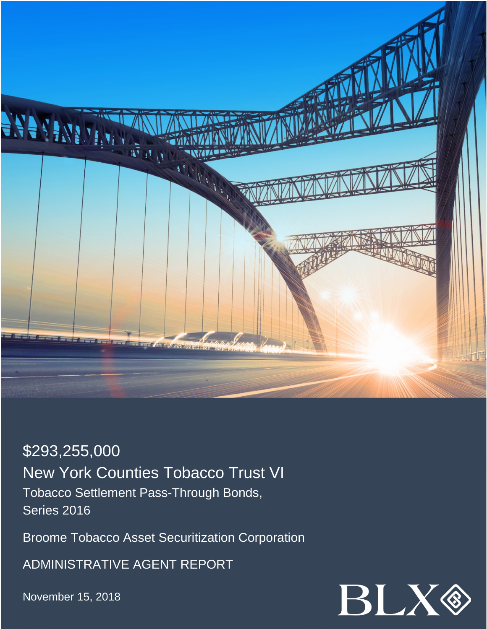

\$293,255,000 New York Counties Tobacco Trust VI Tobacco Settlement Pass-Through Bonds, Series 2016

Broome Tobacco Asset Securitization Corporation

ADMINISTRATIVE AGENT REPORT

November 15, 2018

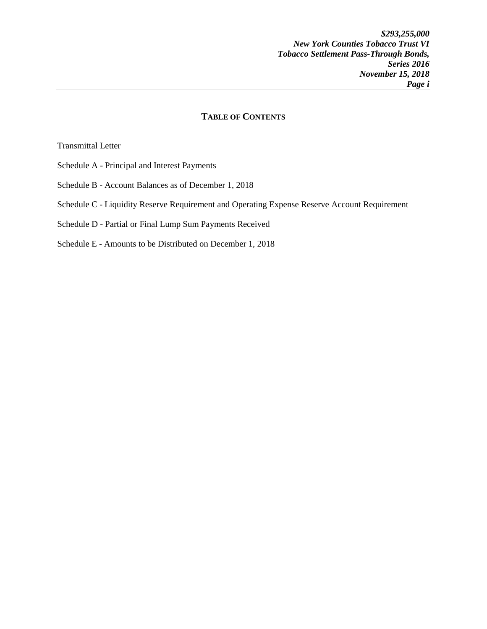## **TABLE OF CONTENTS**

Transmittal Letter

- Schedule A Principal and Interest Payments
- Schedule B Account Balances as of December 1, 2018
- Schedule C Liquidity Reserve Requirement and Operating Expense Reserve Account Requirement
- Schedule D Partial or Final Lump Sum Payments Received
- Schedule E Amounts to be Distributed on December 1, 2018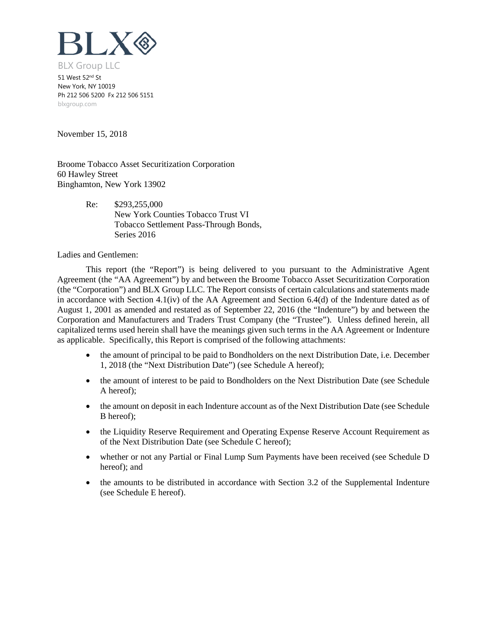

51 West 52nd St New York, NY 10019 Ph 212 506 5200 Fx 212 506 5151 blxgroup.com

November 15, 2018

Broome Tobacco Asset Securitization Corporation 60 Hawley Street Binghamton, New York 13902

> Re: \$293,255,000 New York Counties Tobacco Trust VI Tobacco Settlement Pass-Through Bonds, Series 2016

Ladies and Gentlemen:

This report (the "Report") is being delivered to you pursuant to the Administrative Agent Agreement (the "AA Agreement") by and between the Broome Tobacco Asset Securitization Corporation (the "Corporation") and BLX Group LLC. The Report consists of certain calculations and statements made in accordance with Section 4.1(iv) of the AA Agreement and Section 6.4(d) of the Indenture dated as of August 1, 2001 as amended and restated as of September 22, 2016 (the "Indenture") by and between the Corporation and Manufacturers and Traders Trust Company (the "Trustee"). Unless defined herein, all capitalized terms used herein shall have the meanings given such terms in the AA Agreement or Indenture as applicable. Specifically, this Report is comprised of the following attachments:

- the amount of principal to be paid to Bondholders on the next Distribution Date, i.e. December 1, 2018 (the "Next Distribution Date") (see Schedule A hereof);
- the amount of interest to be paid to Bondholders on the Next Distribution Date (see Schedule A hereof);
- the amount on deposit in each Indenture account as of the Next Distribution Date (see Schedule B hereof);
- the Liquidity Reserve Requirement and Operating Expense Reserve Account Requirement as of the Next Distribution Date (see Schedule C hereof);
- whether or not any Partial or Final Lump Sum Payments have been received (see Schedule D hereof); and
- the amounts to be distributed in accordance with Section 3.2 of the Supplemental Indenture (see Schedule E hereof).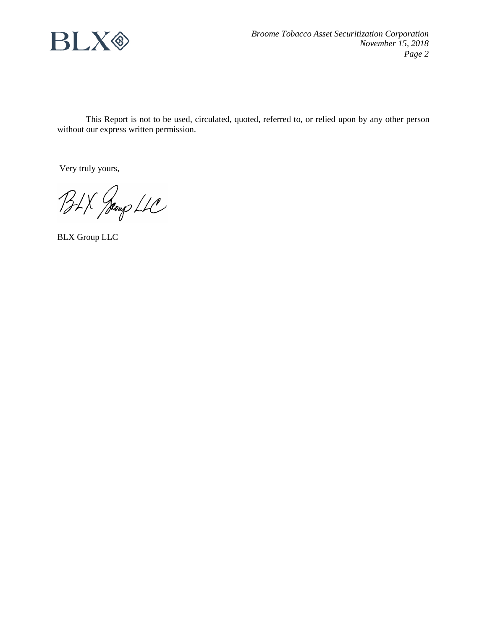

This Report is not to be used, circulated, quoted, referred to, or relied upon by any other person without our express written permission.

Very truly yours,

BLX Jeoup LLC

BLX Group LLC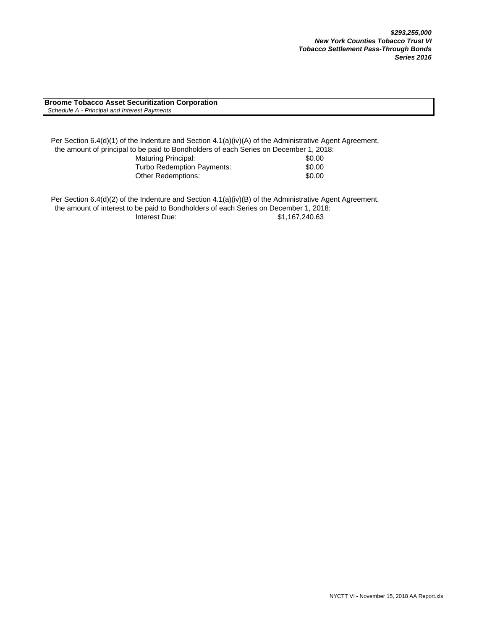**Broome Tobacco Asset Securitization Corporation**  *Schedule A - Principal and Interest Payments*

Per Section 6.4(d)(1) of the Indenture and Section 4.1(a)(iv)(A) of the Administrative Agent Agreement, the amount of principal to be paid to Bondholders of each Series on December 1, 2018: Maturing Principal: \$0.00 Turbo Redemption Payments:  $$0.00$ Other Redemptions:  $$0.00$ 

Per Section 6.4(d)(2) of the Indenture and Section 4.1(a)(iv)(B) of the Administrative Agent Agreement, the amount of interest to be paid to Bondholders of each Series on December 1, 2018: Interest Due: \$1,167,240.63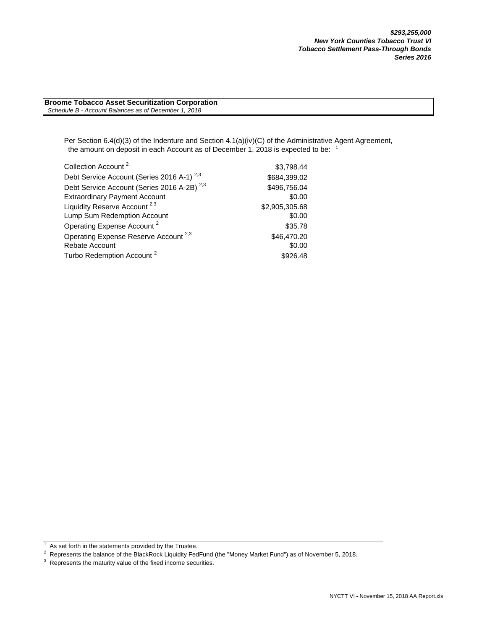**Broome Tobacco Asset Securitization Corporation**  *Schedule B - Account Balances as of December 1, 2018*

> Per Section 6.4(d)(3) of the Indenture and Section 4.1(a)(iv)(C) of the Administrative Agent Agreement, the amount on deposit in each Account as of December 1, 2018 is expected to be: <sup>1</sup>

| Collection Account <sup>2</sup>                        | \$3,798.44     |
|--------------------------------------------------------|----------------|
| Debt Service Account (Series 2016 A-1) <sup>2,3</sup>  | \$684,399.02   |
| Debt Service Account (Series 2016 A-2B) <sup>2,3</sup> | \$496,756.04   |
| <b>Extraordinary Payment Account</b>                   | \$0.00         |
| Liquidity Reserve Account <sup>2,3</sup>               | \$2,905,305.68 |
| Lump Sum Redemption Account                            | \$0.00         |
| Operating Expense Account <sup>2</sup>                 | \$35.78        |
| Operating Expense Reserve Account <sup>2,3</sup>       | \$46,470.20    |
| Rebate Account                                         | \$0.00         |
| Turbo Redemption Account <sup>2</sup>                  | \$926.48       |

 $1$  As set forth in the statements provided by the Trustee.

As secretaria the statements provided by the Trustee.<br><sup>2</sup> Represents the balance of the BlackRock Liquidity FedFund (the "Money Market Fund") as of November 5, 2018.

 $3$  Represents the maturity value of the fixed income securities.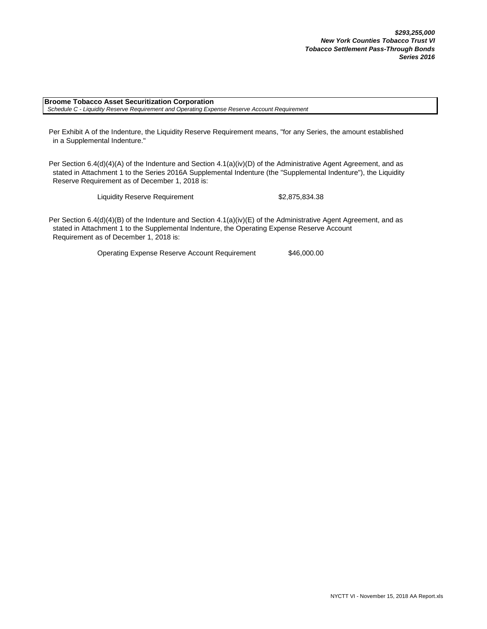**Broome Tobacco Asset Securitization Corporation**  *Schedule C - Liquidity Reserve Requirement and Operating Expense Reserve Account Requirement*

Per Exhibit A of the Indenture, the Liquidity Reserve Requirement means, "for any Series, the amount established in a Supplemental Indenture."

Per Section 6.4(d)(4)(A) of the Indenture and Section 4.1(a)(iv)(D) of the Administrative Agent Agreement, and as stated in Attachment 1 to the Series 2016A Supplemental Indenture (the "Supplemental Indenture"), the Liquidity Reserve Requirement as of December 1, 2018 is:

Liquidity Reserve Requirement \$2,875,834.38

Per Section 6.4(d)(4)(B) of the Indenture and Section 4.1(a)(iv)(E) of the Administrative Agent Agreement, and as stated in Attachment 1 to the Supplemental Indenture, the Operating Expense Reserve Account Requirement as of December 1, 2018 is:

Operating Expense Reserve Account Requirement \$46,000.00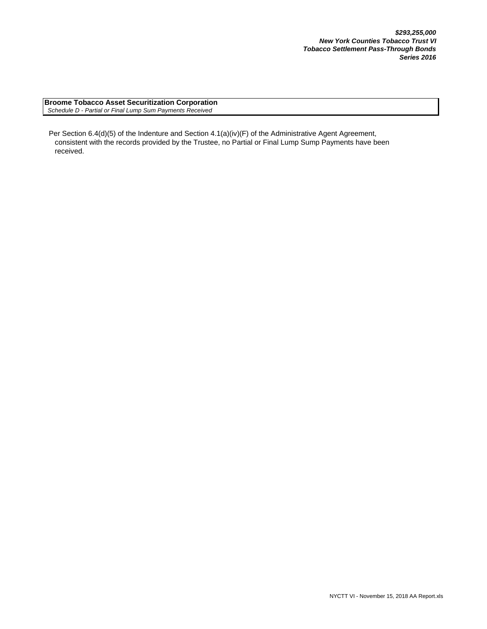**Broome Tobacco Asset Securitization Corporation**  *Schedule D - Partial or Final Lump Sum Payments Received*

Per Section 6.4(d)(5) of the Indenture and Section 4.1(a)(iv)(F) of the Administrative Agent Agreement, consistent with the records provided by the Trustee, no Partial or Final Lump Sump Payments have been received.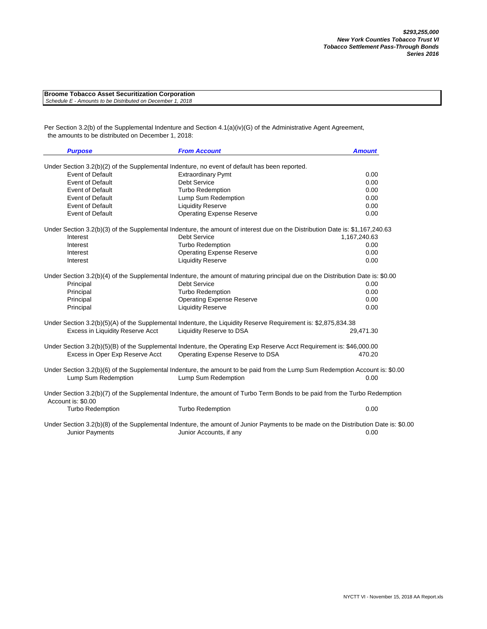| <b>Broome Tobacco Asset Securitization Corporation</b>     |  |
|------------------------------------------------------------|--|
| Schedule E - Amounts to be Distributed on December 1, 2018 |  |

Per Section 3.2(b) of the Supplemental Indenture and Section 4.1(a)(iv)(G) of the Administrative Agent Agreement, the amounts to be distributed on December 1, 2018:

| <b>Purpose</b>                   | <b>From Account</b>                                                                                                                                 | <b>Amount</b> |
|----------------------------------|-----------------------------------------------------------------------------------------------------------------------------------------------------|---------------|
|                                  | Under Section 3.2(b)(2) of the Supplemental Indenture, no event of default has been reported.                                                       |               |
| <b>Event of Default</b>          | <b>Extraordinary Pymt</b>                                                                                                                           | 0.00          |
| <b>Event of Default</b>          | <b>Debt Service</b>                                                                                                                                 | 0.00          |
| <b>Event of Default</b>          | <b>Turbo Redemption</b>                                                                                                                             | 0.00          |
| <b>Event of Default</b>          | Lump Sum Redemption                                                                                                                                 | 0.00          |
| <b>Event of Default</b>          | <b>Liquidity Reserve</b>                                                                                                                            | 0.00          |
| <b>Event of Default</b>          | <b>Operating Expense Reserve</b>                                                                                                                    | 0.00          |
|                                  | Under Section 3.2(b)(3) of the Supplemental Indenture, the amount of interest due on the Distribution Date is: \$1,167,240.63                       |               |
| Interest                         | <b>Debt Service</b>                                                                                                                                 | 1,167,240.63  |
| Interest                         | <b>Turbo Redemption</b>                                                                                                                             | 0.00          |
| Interest                         | <b>Operating Expense Reserve</b>                                                                                                                    | 0.00          |
| Interest                         | <b>Liquidity Reserve</b>                                                                                                                            | 0.00          |
|                                  | Under Section 3.2(b)(4) of the Supplemental Indenture, the amount of maturing principal due on the Distribution Date is: \$0.00                     |               |
| Principal                        | <b>Debt Service</b>                                                                                                                                 | 0.00          |
| Principal                        | <b>Turbo Redemption</b>                                                                                                                             | 0.00          |
| Principal                        | <b>Operating Expense Reserve</b>                                                                                                                    | 0.00          |
| Principal                        | <b>Liquidity Reserve</b>                                                                                                                            | 0.00          |
|                                  | Under Section 3.2(b)(5)(A) of the Supplemental Indenture, the Liquidity Reserve Requirement is: \$2,875,834.38                                      |               |
| Excess in Liquidity Reserve Acct | Liquidity Reserve to DSA                                                                                                                            | 29,471.30     |
|                                  | Under Section 3.2(b)(5)(B) of the Supplemental Indenture, the Operating Exp Reserve Acct Requirement is: \$46,000.00                                |               |
| Excess in Oper Exp Reserve Acct  | Operating Expense Reserve to DSA                                                                                                                    | 470.20        |
| Lump Sum Redemption              | Under Section 3.2(b)(6) of the Supplemental Indenture, the amount to be paid from the Lump Sum Redemption Account is: \$0.00<br>Lump Sum Redemption | 0.00          |
|                                  |                                                                                                                                                     |               |
| Account is: \$0.00               | Under Section 3.2(b)(7) of the Supplemental Indenture, the amount of Turbo Term Bonds to be paid from the Turbo Redemption                          |               |
| <b>Turbo Redemption</b>          | <b>Turbo Redemption</b>                                                                                                                             | 0.00          |
|                                  | Under Section 3.2(b)(8) of the Supplemental Indenture, the amount of Junior Payments to be made on the Distribution Date is: \$0.00                 |               |
| <b>Junior Payments</b>           | Junior Accounts, if any                                                                                                                             | 0.00          |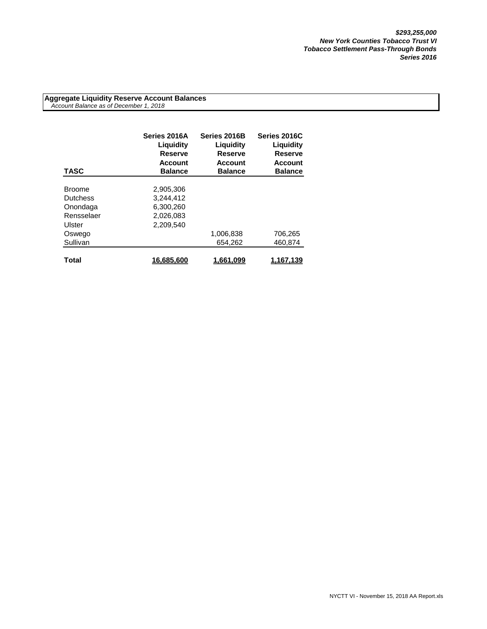**Aggregate Liquidity Reserve Account Balances**  *Account Balance as of December 1, 2018*

| <b>TASC</b>     | Series 2016A<br>Liguidity<br><b>Reserve</b><br><b>Account</b><br><b>Balance</b> | Series 2016B<br>Liquidity<br><b>Reserve</b><br><b>Account</b><br><b>Balance</b> | Series 2016C<br>Liquidity<br><b>Reserve</b><br><b>Account</b><br><b>Balance</b> |
|-----------------|---------------------------------------------------------------------------------|---------------------------------------------------------------------------------|---------------------------------------------------------------------------------|
|                 |                                                                                 |                                                                                 |                                                                                 |
| <b>Broome</b>   | 2,905,306                                                                       |                                                                                 |                                                                                 |
| <b>Dutchess</b> | 3,244,412                                                                       |                                                                                 |                                                                                 |
| Onondaga        | 6.300.260                                                                       |                                                                                 |                                                                                 |
| Rensselaer      | 2,026,083                                                                       |                                                                                 |                                                                                 |
| Ulster          | 2.209.540                                                                       |                                                                                 |                                                                                 |
| Oswego          |                                                                                 | 1,006,838                                                                       | 706,265                                                                         |
| Sullivan        |                                                                                 | 654.262                                                                         | 460,874                                                                         |
|                 |                                                                                 |                                                                                 |                                                                                 |
| Total           | 16,685,600                                                                      | 1.661.099                                                                       | 1.167.139                                                                       |